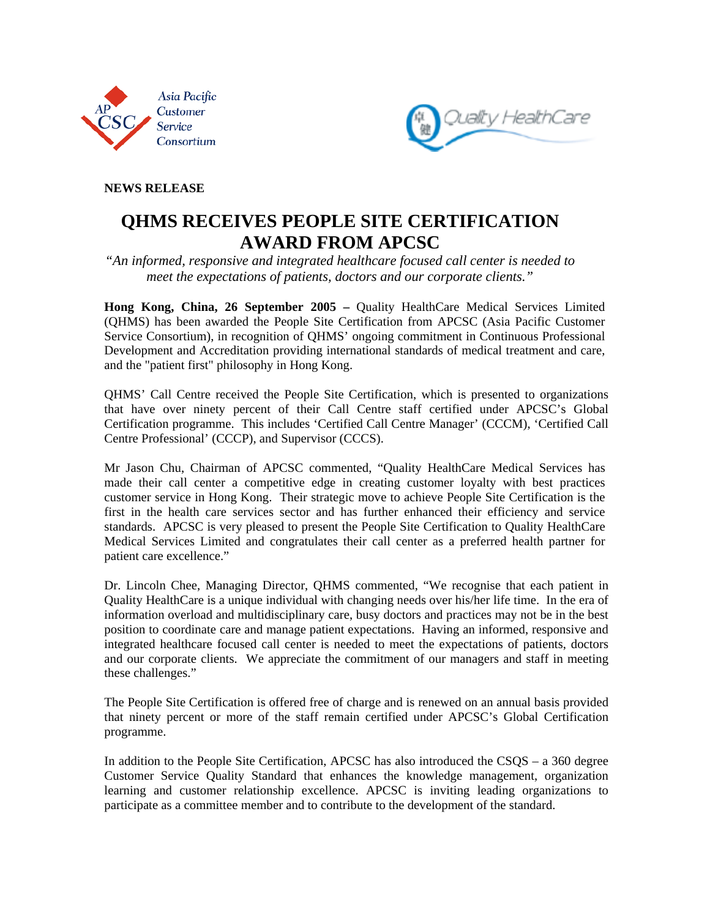



**NEWS RELEASE** 

## **QHMS RECEIVES PEOPLE SITE CERTIFICATION AWARD FROM APCSC**

*"An informed, responsive and integrated healthcare focused call center is needed to meet the expectations of patients, doctors and our corporate clients."* 

**Hong Kong, China, 26 September 2005 –** Quality HealthCare Medical Services Limited (QHMS) has been awarded the People Site Certification from APCSC (Asia Pacific Customer Service Consortium), in recognition of QHMS' ongoing commitment in Continuous Professional Development and Accreditation providing international standards of medical treatment and care, and the "patient first" philosophy in Hong Kong.

QHMS' Call Centre received the People Site Certification, which is presented to organizations that have over ninety percent of their Call Centre staff certified under APCSC's Global Certification programme. This includes 'Certified Call Centre Manager' (CCCM), 'Certified Call Centre Professional' (CCCP), and Supervisor (CCCS).

Mr Jason Chu, Chairman of APCSC commented, "Quality HealthCare Medical Services has made their call center a competitive edge in creating customer loyalty with best practices customer service in Hong Kong. Their strategic move to achieve People Site Certification is the first in the health care services sector and has further enhanced their efficiency and service standards. APCSC is very pleased to present the People Site Certification to Quality HealthCare Medical Services Limited and congratulates their call center as a preferred health partner for patient care excellence."

Dr. Lincoln Chee, Managing Director, QHMS commented, "We recognise that each patient in Quality HealthCare is a unique individual with changing needs over his/her life time. In the era of information overload and multidisciplinary care, busy doctors and practices may not be in the best position to coordinate care and manage patient expectations. Having an informed, responsive and integrated healthcare focused call center is needed to meet the expectations of patients, doctors and our corporate clients. We appreciate the commitment of our managers and staff in meeting these challenges."

The People Site Certification is offered free of charge and is renewed on an annual basis provided that ninety percent or more of the staff remain certified under APCSC's Global Certification programme.

In addition to the People Site Certification, APCSC has also introduced the CSQS – a 360 degree Customer Service Quality Standard that enhances the knowledge management, organization learning and customer relationship excellence. APCSC is inviting leading organizations to participate as a committee member and to contribute to the development of the standard.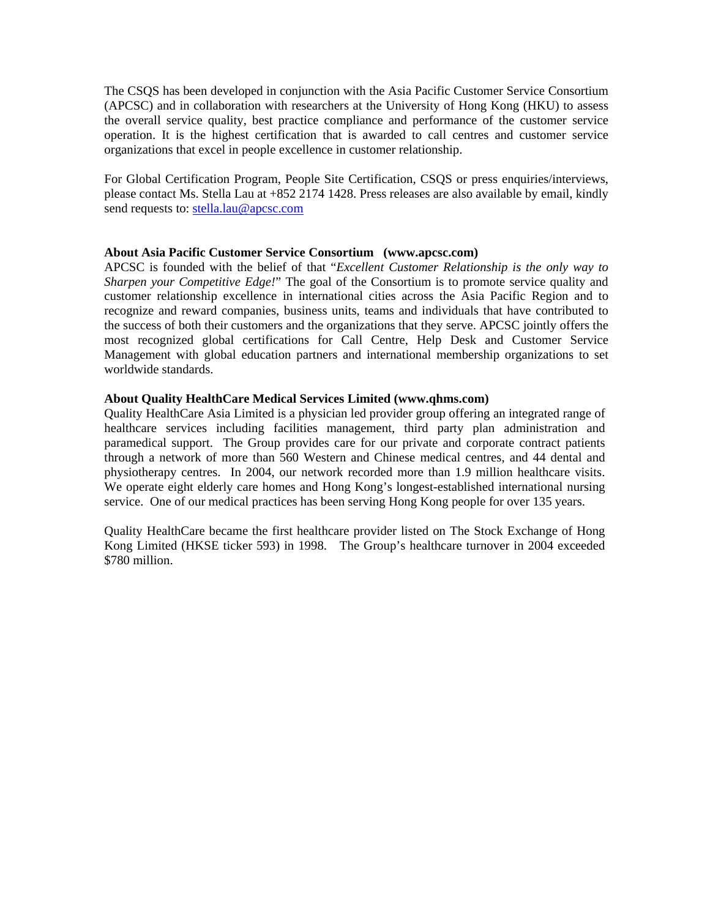The CSQS has been developed in conjunction with the Asia Pacific Customer Service Consortium (APCSC) and in collaboration with researchers at the University of Hong Kong (HKU) to assess the overall service quality, best practice compliance and performance of the customer service operation. It is the highest certification that is awarded to call centres and customer service organizations that excel in people excellence in customer relationship.

For Global Certification Program, People Site Certification, CSQS or press enquiries/interviews, please contact Ms. Stella Lau at +852 2174 1428. Press releases are also available by email, kindly send requests to: stella.lau@apcsc.com

## **About Asia Pacific Customer Service Consortium (www.apcsc.com)**

APCSC is founded with the belief of that "*Excellent Customer Relationship is the only way to Sharpen your Competitive Edge!*" The goal of the Consortium is to promote service quality and customer relationship excellence in international cities across the Asia Pacific Region and to recognize and reward companies, business units, teams and individuals that have contributed to the success of both their customers and the organizations that they serve. APCSC jointly offers the most recognized global certifications for Call Centre, Help Desk and Customer Service Management with global education partners and international membership organizations to set worldwide standards.

## **About Quality HealthCare Medical Services Limited (www.qhms.com)**

Quality HealthCare Asia Limited is a physician led provider group offering an integrated range of healthcare services including facilities management, third party plan administration and paramedical support. The Group provides care for our private and corporate contract patients through a network of more than 560 Western and Chinese medical centres, and 44 dental and physiotherapy centres. In 2004, our network recorded more than 1.9 million healthcare visits. We operate eight elderly care homes and Hong Kong's longest-established international nursing service. One of our medical practices has been serving Hong Kong people for over 135 years.

Quality HealthCare became the first healthcare provider listed on The Stock Exchange of Hong Kong Limited (HKSE ticker 593) in 1998. The Group's healthcare turnover in 2004 exceeded \$780 million.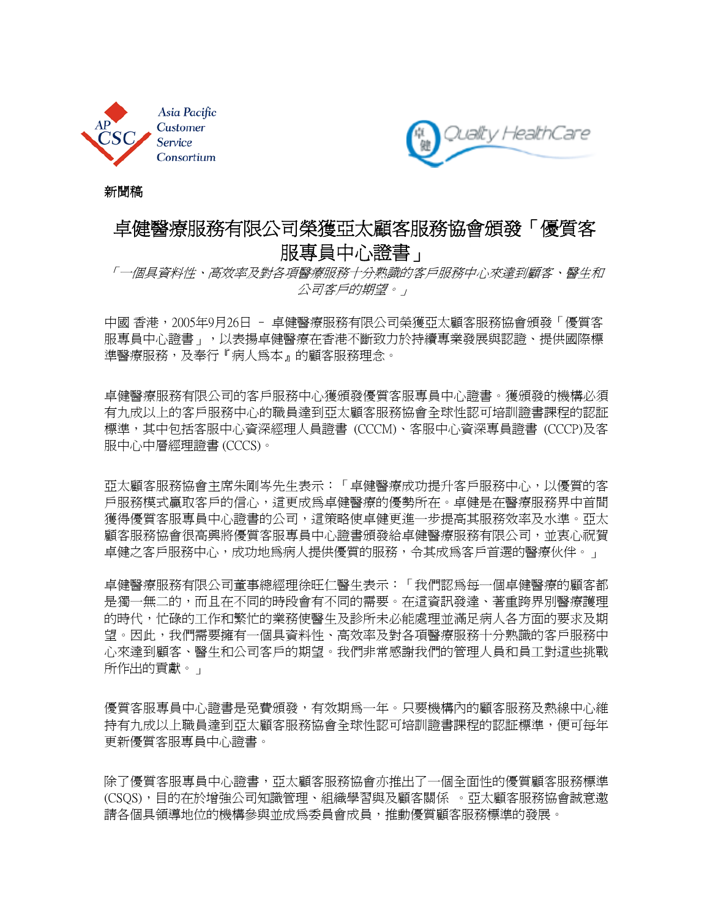



新聞稿

# 卓健醫療服務有限公司榮獲亞太顧客服務協會頒發「優質客 服專員中心證書」

「一個具資料性、高效率及對各項醫療服務十分熟識的客戶服務中心來達到顧客、醫生和 公司客戶的期望。」

中國 香港,2005年9月26日 – 卓健醫療服務有限公司榮獲亞太顧客服務協會頒發「優質客 服專員中心證書」,以表揚卓健醫療在香港不斷致力於持續專業發展與認證、提供國際標 準醫療服務,及奉行『病人為本』的顧客服務理念。

卓健醫療服務有限公司的客戶服務中心獲頒發優質客服專員中心證書。獲頒發的機構必須 有九成以上的客戶服務中心的職員達到亞太顧客服務協會全球性認可培訓證書課程的認証 標準,其中包括客服中心資深經理人員證書 (CCCM)、客服中心資深專員證書 (CCCP)及客 服中心中層經理證書 (CCCS)。

亞太顧客服務協會主席朱剛岑先生表示:「卓健醫療成功提升客戶服務中心,以優質的客 戶服務模式贏取客戶的信心,這更成為卓健醫療的優勢所在。卓健是在醫療服務界中首間 獲得優質客服專員中心證書的公司,這策略使卓健更進一步提高其服務效率及水準。亞太 顧客服務協會很高興將優質客服專員中心證書頒發給卓健醫療服務有限公司,並衷心祝賀 卓健之客戶服務中心,成功地爲病人提供優質的服務,令其成爲客戶首選的醫療伙伴。」

卓健醫療服務有限公司董事總經理徐旺仁醫生表示:「我們認為每一個卓健醫療的顧客都 是獨一無二的,而且在不同的時段會有不同的需要。在這資訊發達、著重跨界別醫療護理 的時代,忙碌的工作和繁忙的業務使醫生及診所未必能處理並滿足病人各方面的要求及期 望。因此,我們需要擁有一個具資料性、高效率及對各項醫療服務十分熟識的客戶服務中 心來達到顧客、醫生和公司客戶的期望。我們非常感謝我們的管理人員和員工對這些挑戰 所作出的貢獻。」

優質客服專員中心證書是免費頒發,有效期為一年。只要機構內的顧客服務及熱線中心維 持有九成以上職員達到亞太顧客服務協會全球性認可培訓證書課程的認証標準,便可每年 更新優質客服專員中心證書。

除了優質客服專員中心證書,亞太顧客服務協會亦推出了一個全面性的優質顧客服務標準 (CSQS),目的在於增強公司知識管理、組織學習與及顧客關係 。亞太顧客服務協會誠意邀 請各個具領導地位的機構參與並成為委員會成員,推動優質顧客服務標準的發展。